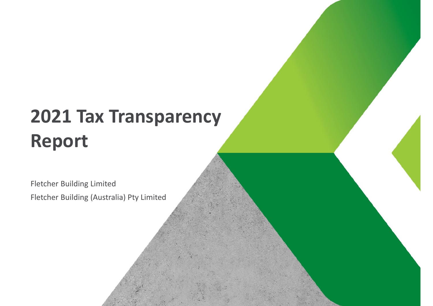Fletcher Building Limited Fletcher Building (Australia) Pty Limited

**| 2021 Tax Transparency Report | May 2022**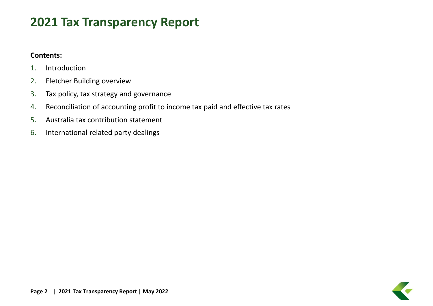### **Contents:**

- 1.Introduction
- 2.Fletcher Building overview
- 3.Tax policy, tax strategy and governance
- 4.Reconciliation of accounting profit to income tax paid and effective tax rates
- 5.Australia tax contribution statement
- 6.. International related party dealings

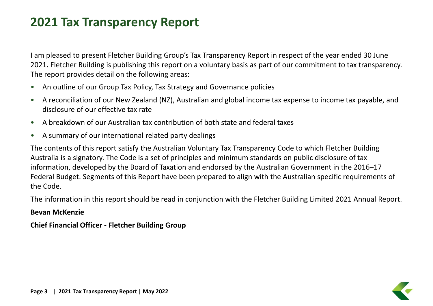am pleased to present Fletcher Building Group's Tax Transparency Report in respect of the year ended 30 June 2021. Fletcher Building is publishing this report on <sup>a</sup> voluntary basis as part of our commitment to tax transparency. The report provides detail on the following areas:

- $\bullet$ • An outline of our Group Tax Policy, Tax Strategy and Governance policies
- • A reconciliation of our New Zealand (NZ), Australian and global income tax expense to income tax payable, and disclosure of our effective tax rate
- $\bullet$ A breakdown of our Australian tax contribution of both state and federal taxes
- $\bullet$ A summary of our international related party dealings

The contents of this report satisfy the Australian Voluntary Tax Transparency Code to which Fletcher Building Australia is <sup>a</sup> signatory. The Code is <sup>a</sup> set of principles and minimum standards on public disclosure of tax information, developed by the Board of Taxation and endorsed by the Australian Government in the 2016–17 Federal Budget. Segments of this Report have been prepared to align with the Australian specific requirements of the Code.

The information in this report should be read in conjunction with the Fletcher Building Limited 2021 Annual Report.

### **Bevan McKenzie**

**Chief Financial Officer ‐ Fletcher Building Group**

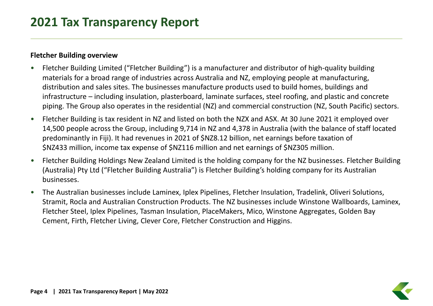### **Fletcher Building overview**

- • Fletcher Building Limited ("Fletcher Building") is <sup>a</sup> manufacturer and distributor of high‐quality building materials for <sup>a</sup> broad range of industries across Australia and NZ, employing people at manufacturing, distribution and sales sites. The businesses manufacture products used to build homes, buildings and infrastructure – including insulation, plasterboard, laminate surfaces, steel roofing, and plastic and concrete piping. The Group also operates in the residential (NZ) and commercial construction (NZ, South Pacific) sectors.
- $\bullet$  Fletcher Building is tax resident in NZ and listed on both the NZX and ASX. At 30 June 2021 it employed over 14,500 people across the Group, including 9,714 in NZ and 4,378 in Australia (with the balance of staff located predominantly in Fiji). It had revenues in 2021 of \$NZ8.12 billion, net earnings before taxation of \$NZ433 million, income tax expense of \$NZ116 million and net earnings of \$NZ305 million.
- • Fletcher Building Holdings New Zealand Limited is the holding company for the NZ businesses. Fletcher Building (Australia) Pty Ltd ("Fletcher Building Australia") is Fletcher Building's holding company for its Australian businesses.
- • The Australian businesses include Laminex, Iplex Pipelines, Fletcher Insulation, Tradelink, Oliveri Solutions, Stramit, Rocla and Australian Construction Products. The NZ businesses include Winstone Wallboards, Laminex, Fletcher Steel, Iplex Pipelines, Tasman Insulation, PlaceMakers, Mico, Winstone Aggregates, Golden Bay Cement, Firth, Fletcher Living, Clever Core, Fletcher Construction and Higgins.

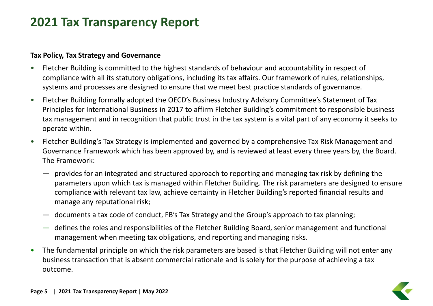### **Tax Policy, Tax Strategy and Governance**

- • Fletcher Building is committed to the highest standards of behaviour and accountability in respect of compliance with all its statutory obligations, including its tax affairs. Our framework of rules, relationships, systems and processes are designed to ensure that we meet best practice standards of governance.
- • Fletcher Building formally adopted the OECD's Business Industry Advisory Committee's Statement of Tax Principles for International Business in 2017 to affirm Fletcher Building's commitment to responsible business tax management and in recognition that public trust in the tax system is <sup>a</sup> vital part of any economy it seeks to operate within.
- $\bullet$  Fletcher Building's Tax Strategy is implemented and governed by <sup>a</sup> comprehensive Tax Risk Management and Governance Framework which has been approved by, and is reviewed at least every three years by, the Board. The Framework:
	- provides for an integrated and structured approach to reporting and managing tax risk by defining the parameters upon which tax is managed within Fletcher Building. The risk parameters are designed to ensure compliance with relevant tax law, achieve certainty in Fletcher Building's reported financial results and manage any reputational risk;
	- documents a tax code of conduct, FB's Tax Strategy and the Group's approach to tax planning;
	- defines the roles and responsibilities of the Fletcher Building Board, senior management and functional management when meeting tax obligations, and reporting and managing risks.
- • The fundamental principle on which the risk parameters are based is that Fletcher Building will not enter any business transaction that is absent commercial rationale and is solely for the purpose of achieving <sup>a</sup> tax outcome.

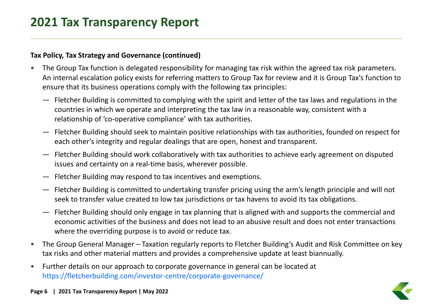### **Tax Policy, Tax Strategy and Governance (continued)**

- • The Group Tax function is delegated responsibility for managing tax risk within the agreed tax risk parameters. An internal escalation policy exists for referring matters to Group Tax for review and it is Group Tax's function to ensure that its business operations comply with the following tax principles:
	- Fletcher Building is committed to complying with the spirit and letter of the tax laws and regulations in the countries in which we operate and interpreting the tax law in <sup>a</sup> reasonable way, consistent with <sup>a</sup> relationship of 'co‐operative compliance' with tax authorities.
	- Fletcher Building should seek to maintain positive relationships with tax authorities, founded on respect for each other's integrity and regular dealings that are open, honest and transparent.
	- Fletcher Building should work collaboratively with tax authorities to achieve early agreement on disputed issues and certainty on <sup>a</sup> real‐time basis, wherever possible.
	- Fletcher Building may respond to tax incentives and exemptions.
	- Fletcher Building is committed to undertaking transfer pricing using the arm's length principle and will not seek to transfer value created to low tax jurisdictions or tax havens to avoid its tax obligations.
	- Fletcher Building should only engage in tax planning that is aligned with and supports the commercial and economic activities of the business and does not lead to an abusive result and does not enter transactions where the overriding purpose is to avoid or reduce tax.
- $\bullet$  The Group General Manager – Taxation regularly reports to Fletcher Building's Audit and Risk Committee on key tax risks and other material matters and provides <sup>a</sup> comprehensive update at least biannually.
- • Further details on our approach to corporate governance in general can be located at https://fletcherbuilding.com/investor‐centre/corporate‐governance/

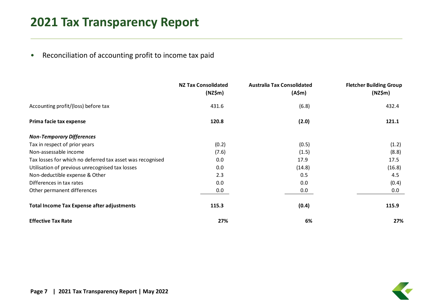•• Reconciliation of accounting profit to income tax paid

|                                                           | <b>NZ Tax Consolidated</b><br>(NZ\$m) | <b>Australia Tax Consolidated</b><br>(A\$m) | <b>Fletcher Building Group</b><br>(NZ\$m) |
|-----------------------------------------------------------|---------------------------------------|---------------------------------------------|-------------------------------------------|
| Accounting profit/(loss) before tax                       | 431.6                                 | (6.8)                                       | 432.4                                     |
| Prima facie tax expense                                   | 120.8                                 | (2.0)                                       | 121.1                                     |
| <b>Non-Temporary Differences</b>                          |                                       |                                             |                                           |
| Tax in respect of prior years                             | (0.2)                                 | (0.5)                                       | (1.2)                                     |
| Non-assessable income                                     | (7.6)                                 | (1.5)                                       | (8.8)                                     |
| Tax losses for which no deferred tax asset was recognised | 0.0                                   | 17.9                                        | 17.5                                      |
| Utilisation of previous unrecognised tax losses           | 0.0                                   | (14.8)                                      | (16.8)                                    |
| Non-deductible expense & Other                            | 2.3                                   | 0.5                                         | 4.5                                       |
| Differences in tax rates                                  | 0.0                                   | 0.0                                         | (0.4)                                     |
| Other permanent differences                               | 0.0                                   | 0.0                                         | 0.0                                       |
| <b>Total Income Tax Expense after adjustments</b>         | 115.3                                 | (0.4)                                       | 115.9                                     |
| <b>Effective Tax Rate</b>                                 | 27%                                   | 6%                                          | 27%                                       |

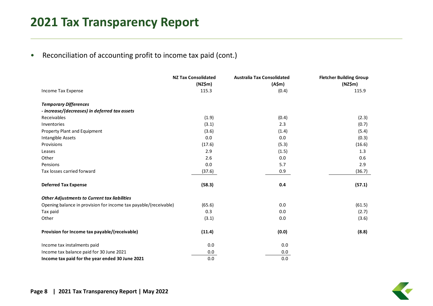•• Reconciliation of accounting profit to income tax paid (cont.)

|                                                                  | <b>NZ Tax Consolidated</b> | <b>Australia Tax Consolidated</b> | <b>Fletcher Building Group</b> |
|------------------------------------------------------------------|----------------------------|-----------------------------------|--------------------------------|
| Income Tax Expense                                               | (NZ\$m)<br>115.3           | (A\$m)<br>(0.4)                   | (NZ\$m)<br>115.9               |
|                                                                  |                            |                                   |                                |
| <b>Temporary Differences</b>                                     |                            |                                   |                                |
| - increase/(decreases) in deferred tax assets                    |                            |                                   |                                |
| Receivables                                                      | (1.9)                      | (0.4)                             | (2.3)                          |
| Inventories                                                      | (3.1)                      | 2.3                               | (0.7)                          |
| Property Plant and Equipment                                     | (3.6)                      | (1.4)                             | (5.4)                          |
| Intangible Assets                                                | 0.0                        | 0.0                               | (0.3)                          |
| Provisions                                                       | (17.6)                     | (5.3)                             | (16.6)                         |
| Leases                                                           | 2.9                        | (1.5)                             | 1.3                            |
| Other                                                            | 2.6                        | 0.0                               | 0.6                            |
| Pensions                                                         | 0.0                        | 5.7                               | 2.9                            |
| Tax losses carried forward                                       | (37.6)                     | 0.9                               | (36.7)                         |
| <b>Deferred Tax Expense</b>                                      | (58.3)                     | 0.4                               | (57.1)                         |
| <b>Other Adjustments to Current tax liabilities</b>              |                            |                                   |                                |
| Opening balance in provision for income tax payable/(receivable) | (65.6)                     | 0.0                               | (61.5)                         |
| Tax paid                                                         | 0.3                        | 0.0                               | (2.7)                          |
| Other                                                            | (3.1)                      | 0.0                               | (3.6)                          |
| Provision for Income tax payable/(receivable)                    | (11.4)                     | (0.0)                             | (8.8)                          |
| Income tax instalments paid                                      | 0.0                        | 0.0                               |                                |
| Income tax balance paid for 30 June 2021                         | 0.0                        | 0.0                               |                                |
| Income tax paid for the year ended 30 June 2021                  | 0.0                        | 0.0                               |                                |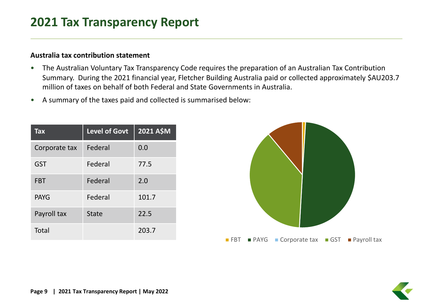#### **Australia tax contribution statement**

- • The Australian Voluntary Tax Transparency Code requires the preparation of an Australian Tax Contribution Summary. During the 2021 financial year, Fletcher Building Australia paid or collected approximately \$AU203.7 million of taxes on behalf of both Federal and State Governments in Australia.
- •A summary of the taxes paid and collected is summarised below:

| <b>Tax</b>    | <b>Level of Govt</b> | <b>2021 A\$M</b> |
|---------------|----------------------|------------------|
| Corporate tax | Federal              | 0.0              |
| <b>GST</b>    | Federal              | 77.5             |
| <b>FBT</b>    | Federal              | 2.0              |
| <b>PAYG</b>   | Federal              | 101.7            |
| Payroll tax   | <b>State</b>         | 22.5             |
| Total         |                      | 203.7            |